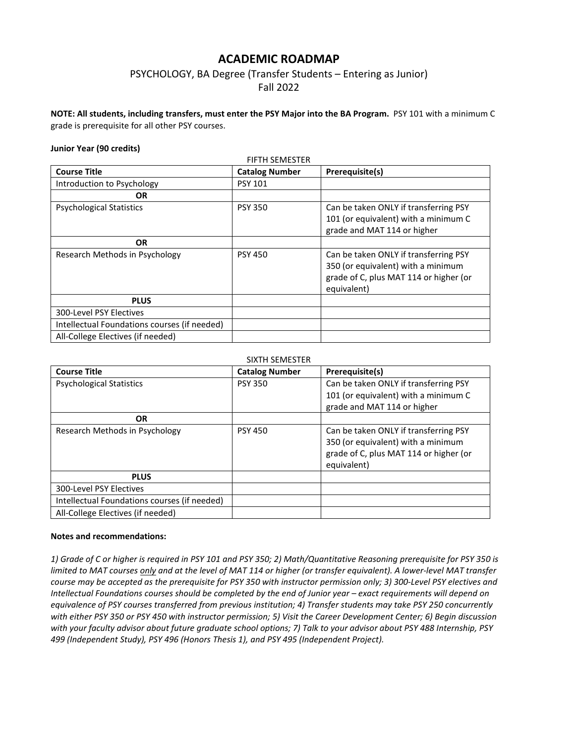# **ACADEMIC ROADMAP**

## PSYCHOLOGY, BA Degree (Transfer Students – Entering as Junior) Fall 2022

**NOTE: All students, including transfers, must enter the PSY Major into the BA Program.** PSY 101 with a minimum C grade is prerequisite for all other PSY courses.

#### **Junior Year (90 credits)**

| <b>Course Title</b>                          | <b>Catalog Number</b> | Prerequisite(s)                                                                                                                      |
|----------------------------------------------|-----------------------|--------------------------------------------------------------------------------------------------------------------------------------|
| Introduction to Psychology                   | <b>PSY 101</b>        |                                                                                                                                      |
| OR.                                          |                       |                                                                                                                                      |
| <b>Psychological Statistics</b>              | <b>PSY 350</b>        | Can be taken ONLY if transferring PSY<br>101 (or equivalent) with a minimum C<br>grade and MAT 114 or higher                         |
| OR.                                          |                       |                                                                                                                                      |
| Research Methods in Psychology               | <b>PSY 450</b>        | Can be taken ONLY if transferring PSY<br>350 (or equivalent) with a minimum<br>grade of C, plus MAT 114 or higher (or<br>equivalent) |
| <b>PLUS</b>                                  |                       |                                                                                                                                      |
| 300-Level PSY Electives                      |                       |                                                                                                                                      |
| Intellectual Foundations courses (if needed) |                       |                                                                                                                                      |
| All-College Electives (if needed)            |                       |                                                                                                                                      |

#### SIXTH SEMESTER

| <b>Course Title</b>                          | <b>Catalog Number</b> | Prerequisite(s)                                                                                                                      |  |  |
|----------------------------------------------|-----------------------|--------------------------------------------------------------------------------------------------------------------------------------|--|--|
| <b>Psychological Statistics</b>              | <b>PSY 350</b>        | Can be taken ONLY if transferring PSY                                                                                                |  |  |
|                                              |                       | 101 (or equivalent) with a minimum C                                                                                                 |  |  |
|                                              |                       | grade and MAT 114 or higher                                                                                                          |  |  |
| <b>OR</b>                                    |                       |                                                                                                                                      |  |  |
| Research Methods in Psychology               | <b>PSY 450</b>        | Can be taken ONLY if transferring PSY<br>350 (or equivalent) with a minimum<br>grade of C, plus MAT 114 or higher (or<br>equivalent) |  |  |
| <b>PLUS</b>                                  |                       |                                                                                                                                      |  |  |
| 300-Level PSY Electives                      |                       |                                                                                                                                      |  |  |
| Intellectual Foundations courses (if needed) |                       |                                                                                                                                      |  |  |
| All-College Electives (if needed)            |                       |                                                                                                                                      |  |  |

#### **Notes and recommendations:**

*1) Grade of C or higher is required in PSY 101 and PSY 350; 2) Math/Quantitative Reasoning prerequisite for PSY 350 is limited to MAT courses only and at the level of MAT 114 or higher (or transfer equivalent). A lower-level MAT transfer course may be accepted as the prerequisite for PSY 350 with instructor permission only; 3) 300-Level PSY electives and Intellectual Foundations courses should be completed by the end of Junior year – exact requirements will depend on equivalence of PSY courses transferred from previous institution; 4) Transfer students may take PSY 250 concurrently with either PSY 350 or PSY 450 with instructor permission; 5) Visit the Career Development Center; 6) Begin discussion with your faculty advisor about future graduate school options; 7) Talk to your advisor about PSY 488 Internship, PSY 499 (Independent Study), PSY 496 (Honors Thesis 1), and PSY 495 (Independent Project).*